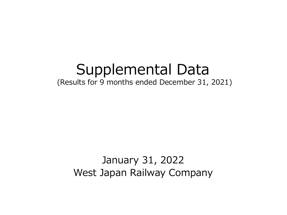# Supplemental Data (Results for 9 months ended December 31, 2021)

# January 31, 2022 West Japan Railway Company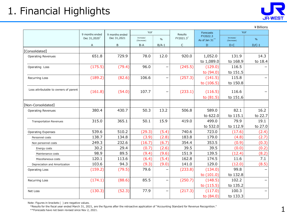

|                                       |                          |                |                         |                          |                |                            |                         | ¥ Billions    |
|---------------------------------------|--------------------------|----------------|-------------------------|--------------------------|----------------|----------------------------|-------------------------|---------------|
|                                       | 9 months ended           | 9 months ended | YoY                     |                          | <b>Results</b> | <b>Forecasts</b>           | YoY                     |               |
|                                       | Dec 31,2020 <sup>*</sup> | Dec 31,2021    | Increase/<br>(Decrease) | $\%$                     | FY2021.3*      | FY2022.3<br>As of Jan 31** | Increase/<br>(Decrease) | $\frac{9}{6}$ |
|                                       | A                        | B              | $B-A$                   | $B/A-1$                  | $\mathsf{C}$   | D                          | $D-C$                   | $D/C-1$       |
| <b>[Consolidated]</b>                 |                          |                |                         |                          |                |                            |                         |               |
| <b>Operating Revenues</b>             | 651.8                    | 729.9          | 78.0                    | 12.0                     | 920.0          | 1,052.0                    | 131.9                   | 14.3          |
|                                       |                          |                |                         |                          |                | to 1,089.0                 | to 168.9                | to 18.4       |
| Operating Loss                        | (175.5)                  | (79.4)         | 96.0                    | $\overline{\phantom{0}}$ | (245.5)        | (129.0)                    | 116.5                   |               |
|                                       |                          |                |                         |                          |                | to (94.0)                  | to 151.5                |               |
| <b>Recurring Loss</b>                 | (189.2)                  | (82.6)         | 106.6                   | $\overline{\phantom{0}}$ | (257.3)        | (141.5)                    | 115.8                   |               |
|                                       |                          |                |                         |                          |                | to (106.5)                 | to 150.8                |               |
| Loss attributable to owners of parent | (161.8)                  | (54.0)         | 107.7                   | $\overline{\phantom{0}}$ | (233.1)        | (116.5)                    | 116.6                   |               |
|                                       |                          |                |                         |                          |                | to $(81.5)$                | to 151.6                |               |
| [Non-Consolidated]                    |                          |                |                         |                          |                |                            |                         |               |
| <b>Operating Revenues</b>             | 380.4                    | 430.7          | 50.3                    | 13.2                     | 506.8          | 589.0                      | 82.1                    | 16.2          |
|                                       |                          |                |                         |                          |                | to 622.0                   | to 115.1                | to 22.7       |
| <b>Transportation Revenues</b>        | 315.0                    | 365.1          | 50.1                    | 15.9                     | 419.0          | 499.0                      | 79.9                    | 19.1          |
|                                       |                          |                |                         |                          |                | to 532.0                   | to 112.9                | to 27.0       |
| <b>Operating Expenses</b>             | 539.6                    | 510.2          | (29.3)                  | (5.4)                    | 740.6          | 723.0                      | (17.6)                  | (2.4)         |
| Personnel costs                       | 138.7                    | 134.8          | (3.9)                   | (2.8)                    | 183.8          | 179.0                      | (4.8)                   | (2.7)         |
| Non personnel costs                   | 249.3                    | 232.6          | (16.7)                  | (6.7)                    | 354.4          | 353.5                      | (0.9)                   | (0.3)         |
| Energy costs                          | 30.2                     | 29.4           | (0.7)                   | (2.6)                    | 39.5           | 39.5                       | (0.0)                   | (0.2)         |
| Maintenance costs                     | 98.9                     | 89.5           | (9.4)                   | (9.6)                    | 151.9          | 139.5                      | (12.4)                  | (8.2)         |
| Miscellaneous costs                   | 120.1                    | 113.6          | (6.4)                   | (5.4)                    | 162.8          | 174.5                      | 11.6                    | 7.1           |
| Depreciation and Amortization         | 103.6                    | 94.3           | (9.3)                   | (9.0)                    | 141.0          | 129.0                      | (12.0)                  | (8.5)         |
| <b>Operating Loss</b>                 | (159.2)                  | (79.5)         | 79.6                    | —                        | (233.8)        | (134.0)                    | 99.8                    |               |
|                                       |                          |                |                         |                          |                | to (101.0)                 | to 132.8                |               |
| <b>Recurring Loss</b>                 | (174.1)                  | (88.6)         | 85.5                    | $\overline{\phantom{0}}$ | (250.7)        | (148.5)                    | 102.2                   |               |
|                                       |                          |                |                         |                          |                | to $(115.5)$               | to 135.2                |               |
| Net Loss                              | (130.3)                  | (52.3)         | 77.9                    | $\overline{\phantom{0}}$ | (217.3)        | (117.0)                    | 100.3                   |               |
|                                       |                          |                |                         |                          |                | to (84.0)                  | to 133.3                |               |

Note: Figures in brackets ( ) are negative values.

\*Results for the fiscal year ended March 31, 2021, are the figures after the retroactive application of "Accounting Standard for Revenue Recognition."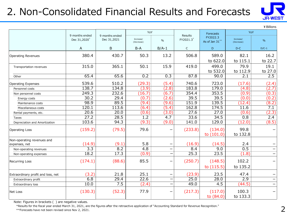## 2. Non-Consolidated Financial Results and Forecasts



¥Billions

|                                    |                                            |                               | YoY                     |                          |                             | Forecasts                  | YoY                     |         |
|------------------------------------|--------------------------------------------|-------------------------------|-------------------------|--------------------------|-----------------------------|----------------------------|-------------------------|---------|
|                                    | 9 months ended<br>Dec 31,2020 <sup>*</sup> | 9 months ended<br>Dec 31,2021 | Increase/<br>(Decrease) | $\%$                     | <b>Results</b><br>FY2021.3* | FY2022.3<br>As of Jan 31** | Increase/<br>(Decrease) | $\%$    |
|                                    | Α                                          | B                             | $B-A$                   | $B/A-1$                  | $\mathsf{C}$                | D                          | $D-C$                   | $D/C-1$ |
| <b>Operating Revenues</b>          | 380.4                                      | 430.7                         | 50.3                    | 13.2                     | 506.8                       | 589.0                      | 82.1                    | 16.2    |
|                                    |                                            |                               |                         |                          |                             | to 622.0                   | to 115.1                | to 22.7 |
| Transportation revenues            | 315.0                                      | 365.1                         | 50.1                    | 15.9                     | 419.0                       | 499.0                      | 79.9                    | 19.1    |
|                                    |                                            |                               |                         |                          |                             | to 532.0                   | to 112.9                | to 27.0 |
| Other                              | 65.4                                       | 65.6                          | 0.2                     | 0.3                      | 87.8                        | 90.0                       | 2.1                     | 2.5     |
| <b>Operating Expenses</b>          | 539.6                                      | 510.2                         | (29.3)                  | (5.4)                    | 740.6                       | 723.0                      | (17.6)                  | (2.4)   |
| Personnel costs                    | 138.7                                      | 134.8                         | (3.9)                   | (2.8)                    | 183.8                       | 179.0                      | (4.8)                   | (2.7)   |
| Non personnel costs                | 249.3                                      | 232.6                         | (16.7)                  | (6.7)                    | 354.4                       | 353.5                      | (0.9)                   | (0.3)   |
| Energy costs                       | 30.2                                       | 29.4                          | (0.7)                   | (2.6)                    | 39.5                        | 39.5                       | (0.0)                   | (0.2)   |
| Maintenance costs                  | 98.9                                       | 89.5                          | (9.4)                   | (9.6)                    | 151.9                       | 139.5                      | (12.4)                  | (8.2)   |
| Miscellaneous costs                | 120.1                                      | 113.6                         | (6.4)                   | (5.4)                    | 162.8                       | 174.5                      | 11.6                    | 7.1     |
| Rental payments, etc.              | 20.6                                       | 20.0                          | (0.6)                   | (3.0)                    | 27.6                        | 27.0                       | (0.6)                   | (2.3)   |
| Taxes                              | 27.2                                       | 28.5                          | 1.2                     | 4.7                      | 33.6                        | 34.5                       | 0.8                     | 2.4     |
| Depreciation and Amortization      | 103.6                                      | 94.3                          | (9.3)                   | (9.0)                    | 141.0                       | 129.0                      | (12.0)                  | (8.5)   |
| <b>Operating Loss</b>              | (159.2)                                    | (79.5)                        | 79.6                    |                          | (233.8)                     | (134.0)<br>to $(101.0)$    | 99.8<br>to 132.8        |         |
| Non-operating revenues and         |                                            |                               |                         |                          |                             |                            |                         |         |
| expenses, net                      | (14.9)                                     | (9.1)                         | 5.8                     |                          | (16.9)                      | (14.5)                     | 2.4                     |         |
| Non-operating revenues             | $\overline{3.3}$                           | 8.2                           | $\overline{4.8}$        | $\overline{\phantom{0}}$ | 8.4                         | 9.0                        | 0.5                     |         |
| Non-operating expenses             | 18.2                                       | 17.3                          | (0.9)                   | —                        | 25.3                        | 23.5                       | (1.8)                   |         |
| <b>Recurring Loss</b>              | (174.1)                                    | (88.6)                        | 85.5                    | $\overline{\phantom{0}}$ | (250.7)                     | (148.5)                    | 102.2                   |         |
|                                    |                                            |                               |                         |                          |                             | to $(115.5)$               | to 135.2                |         |
| Extraordinary profit and loss, net | (3.2)                                      | 21.8                          | 25.1                    | $\overline{\phantom{0}}$ | (23.9)                      | 23.5                       | 47.4                    |         |
| Extraordinary profit               | 6.8                                        | 29.4                          | 22.6                    | —                        | 25.0                        | 28.0                       | 2.9                     |         |
| Extraordinary loss                 | 10.0                                       | 7.5                           | (2.4)                   |                          | 49.0                        | 4.5                        | (44.5)                  | —       |
| <b>Net Loss</b>                    | (130.3)                                    | (52.3)                        | 77.9                    |                          | (217.3)                     | (117.0)<br>to (84.0)       | 100.3<br>to 133.3       |         |

Note: Figures in brackets ( ) are negative values.

\*Results for the fiscal year ended March 31, 2021, are the figures after the retroactive application of "Accounting Standard for Revenue Recognition."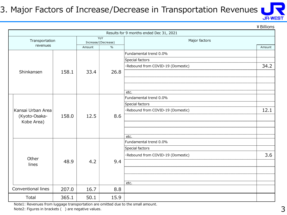#### 3. Major Factors of Increase/Decrease in Transportation Revenues

**JR-WEST** 

¥Billions

|  |                    |       |        |                            | Results for 9 months ended Dec 31, 2021 |        |
|--|--------------------|-------|--------|----------------------------|-----------------------------------------|--------|
|  | Transportation     |       |        | YoY<br>Increase/(Decrease) | Major factors                           |        |
|  | revenues           |       | Amount | $\frac{0}{6}$              |                                         | Amount |
|  |                    |       |        |                            | Fundamental trend 0.0%                  |        |
|  |                    |       |        |                            | Special factors                         |        |
|  |                    |       |        |                            | ·Rebound from COVID-19 (Domestic)       | 34.2   |
|  | Shinkansen         | 158.1 | 33.4   | 26.8                       |                                         |        |
|  |                    |       |        |                            |                                         |        |
|  |                    |       |        |                            |                                         |        |
|  |                    |       |        |                            | etc.                                    |        |
|  | Kansai Urban Area  |       |        |                            | Fundamental trend 0.0%                  |        |
|  |                    |       | 12.5   | 8.6                        | Special factors                         |        |
|  |                    |       |        |                            | ·Rebound from COVID-19 (Domestic)       | 12.1   |
|  | (Kyoto-Osaka-      | 158.0 |        |                            |                                         |        |
|  | Kobe Area)         |       |        |                            |                                         |        |
|  |                    |       |        |                            |                                         |        |
|  |                    |       |        |                            | etc.                                    |        |
|  |                    |       |        |                            | Fundamental trend 0.0%                  |        |
|  |                    |       |        |                            | Special factors                         |        |
|  | Other              |       |        |                            | ·Rebound from COVID-19 (Domestic)       | 3.6    |
|  | lines              | 48.9  | 4.2    | 9.4                        |                                         |        |
|  |                    |       |        |                            |                                         |        |
|  |                    |       |        |                            |                                         |        |
|  |                    |       |        |                            | etc.                                    |        |
|  | Conventional lines | 207.0 | 16.7   | 8.8                        |                                         |        |
|  | Total              | 365.1 | 50.1   | 15.9                       |                                         |        |

Note1: Revenues from luggage transportation are omitted due to the small amount. Note2: Figures in brackets () are negative values.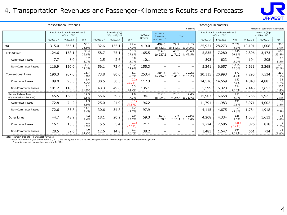#### 4. Transportation Revenues and Passenger-Kilometers Results and Forecasts



|                                              | <b>Transportation Revenues</b> |                                                         |               |           |                                      |                |                      |                          | Passenger-Kilometers     |                          |          |                                                         |                |          |                                      |              |  |
|----------------------------------------------|--------------------------------|---------------------------------------------------------|---------------|-----------|--------------------------------------|----------------|----------------------|--------------------------|--------------------------|--------------------------|----------|---------------------------------------------------------|----------------|----------|--------------------------------------|--------------|--|
|                                              |                                |                                                         |               |           |                                      |                |                      |                          |                          | ¥ Billions               |          |                                                         |                |          | Millions of passenger-kilometers     |              |  |
|                                              |                                | Results for 9 months ended Dec 31<br>$(4/1 \sim 12/31)$ |               |           | 3 months (3Q)<br>$(10/1 \sim 12/31)$ |                | FY2021.3             | FY2022.3<br>Forecasts    |                          | YoY                      |          | Results for 9 months ended Dec 31<br>$(4/1 \sim 12/31)$ |                |          | 3 months (30)<br>$(10/1 \sim 12/31)$ |              |  |
|                                              | FY2021.3*                      | FY2022.3                                                | YoY           | FY2021.3* | FY2022.3                             | YoY            | Results <sup>*</sup> | As of Jan 31*            |                          |                          | FY2021.3 | FY2022.3                                                | YoY            | FY2021.3 | FY2022.3                             | YoY          |  |
| Total                                        | 315.0                          | 365.1                                                   | 50.1<br>15.9% | 132.6     | 155.1                                | 22.4<br>17.0%  | 419.0                | 499.0<br>to 532.0        | 79.9<br>to 112.9         | 19.1%<br>to 27.0%        | 25,951   | 28,273                                                  | 2,322<br>8.9%  | 10,101   | 11,008                               | 906<br>9.0%  |  |
| Shinkansen                                   | 124.6                          | 158.1                                                   | 33.4<br>26.8% | 58.7      | 75.1                                 | 16.3<br>27.8%  | 165.5                | 214.5<br>to 237.5        | 48.9<br>to $71.9$        | 29.6%<br>to 43.5%        | 5,835    | 7,280                                                   | 1,445<br>24.8% | 2,806    | 3,473                                | 667<br>23.8% |  |
| <b>Commuter Passes</b>                       | 7.7                            | 8.0                                                     | 0.2<br>3.7%   | 2.5       | 2.6                                  | 0.0<br>3.7%    | 10.1                 | $\overline{\phantom{m}}$ | -                        | —                        | 593      | 623                                                     | 29<br>5.0%     | 194      | 205                                  | 10<br>5.5%   |  |
| Non-Commuter Passes                          | 116.9                          | 150.0                                                   | 33.1<br>28.3% | 56.1      | 72.4                                 | 16.2<br>28.9%  | 155.3                | $\overline{\phantom{m}}$ |                          | —                        | 5,241    | 6,657                                                   | 1,415<br>27.0% | 2,611    | 3,268                                | 656<br>25.1% |  |
| Conventional Lines                           | 190.3                          | 207.0                                                   | 16.7<br>8.8%  | 73.8      | 80.0                                 | 6.1<br>8.3%    | 253.4                | 284.5<br>to 294.5        | 31.0<br>to $41.0$        | 12.2%<br>to 16.2%        | 20,115   | 20,993                                                  | 877<br>4.4%    | 7,295    | 7,534                                | 239<br>3.3%  |  |
| <b>Commuter Passes</b>                       | 89.0                           | 90.5                                                    | 1.4<br>1.7%   | 30.5      | 30.3                                 | (0.2)<br>(0.7% | 117.3                | $\overline{\phantom{m}}$ | $\overline{\phantom{0}}$ | $\qquad \qquad -$        | 14,516   | 14,669                                                  | 153<br>1.1%    | 4,848    | 4,881                                | 32<br>0.7%   |  |
| Non-Commuter Passes                          | 101.2                          | 116.5                                                   | 15.2<br>15.0% | 43.3      | 49.6                                 | 6.3<br>14.7%   | 136.1                | $\qquad \qquad$          | -                        | $\qquad \qquad -$        | 5,599    | 6,323                                                   | 724<br>12.9%   | 2,446    | 2,653                                | 206<br>8.4%  |  |
| Kansai Urban Area<br>(Kyoto-Osaka-Kobe Area) | 145.5                          | 158.0                                                   | 12.5<br>8.6%  | 55.6      | 59.7                                 | 4.0<br>7.3%    | 194.1                | 217.5<br>to 224.0        | 23.3<br>to 29.8          | 12.0%<br>to 15.4%        | 15,907   | 16,658                                                  | 751<br>4.7%    | 5,756    | 5,921                                | 164<br>2.9%  |  |
| <b>Commuter Passes</b>                       | 72.8                           | 74.2                                                    | 1.3<br>1.9%   | 25.0      | 24.9                                 | (0.1)<br>(0.5% | 96.2                 | $\overline{\phantom{0}}$ | -                        | $\qquad \qquad$          | 11,791   | 11,983                                                  | 191<br>1.6%    | 3,971    | 4,002                                | 31<br>0.8%   |  |
| Non-Commuter Passes                          | 72.6                           | 83.8                                                    | 11.1<br>15.4% | 30.6      | 34.8                                 | 4.2<br>13.7%   | 97.9                 | $\overline{\phantom{0}}$ |                          | $\qquad \qquad -$        | 4,115    | 4,675                                                   | 559<br>13.6%   | 1,784    | 1,918                                | 133<br>7.5%  |  |
| Other Lines                                  | 44.7                           | 48.9                                                    | 4.2<br>9.4%   | 18.1      | 20.2                                 | 2.0<br>11.5%   | 59.3                 | 67.0<br>to 70.5          | 7.6<br>to 11.1           | 12.9%<br>to 18.8%        | 4,208    | 4,334                                                   | 126<br>3.0%    | 1,538    | 1,613                                | 74<br>4.8%   |  |
| <b>Commuter Passes</b>                       | 16.1                           | 16.3                                                    | 0.1<br>0.9%   | 5.5       | 5.4                                  | (0.1)<br>(1.8% | 21.1                 | -                        |                          | -                        | 2,724    | 2,686                                                   | (38)<br>(1.4%  | 876      | 878                                  | 0.2%         |  |
| Non-Commuter Passes                          | 28.5                           | 32.6                                                    | 4.0<br>14.2%  | 12.6      | 14.8                                 | 2.1<br>17.3%   | 38.2                 | $\overline{\phantom{0}}$ |                          | $\overline{\phantom{0}}$ | 1,483    | 1,647                                                   | 164<br>11.1%   | 661      | 734                                  | 72<br>11.0%  |  |

Note: Figures in brackets ( ) are negative values.

\*Results for the fiscal year ended March 31, 2021, are the figures after the retroactive application of "Accounting Standard for Revenue Recognition."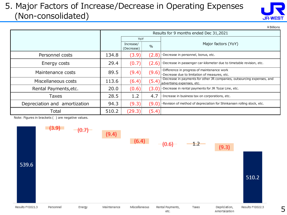#### 5. Major Factors of Increase/Decrease in Operating Expenses (Non-consolidated)



¥Billions

5

|                               |       |                         |       | Results for 9 months ended Dec 31,2021                                                                 |
|-------------------------------|-------|-------------------------|-------|--------------------------------------------------------------------------------------------------------|
|                               |       | YoY                     |       |                                                                                                        |
|                               |       | Increase/<br>(Decrease) | $\%$  | Major factors (YoY)                                                                                    |
| Personnel costs               | 134.8 | (3.9)                   | (2.8) | Decrease in personnel, bonus, etc.                                                                     |
| Energy costs                  | 29.4  | (0.7)                   | (2.6) | ·Decrease in passenger car-kilometer due to timetable revision, etc.                                   |
| Maintenance costs             | 89.5  | (9.4)                   | (9.6) | ·Difference in progress of maintenance work<br>·Decrease due to limitation of measures, etc.           |
| Miscellaneous costs           | 113.6 | (6.4)                   | (5.4) | . Decrease in payments for other JR companies, outsourcing expenses, and<br>advertising expenses, etc. |
| Rental Payments, etc.         | 20.0  | (0.6)                   | (3.0) | ·Decrease in rental payments for JR Tozai Line, etc.                                                   |
| Taxes                         | 28.5  | 1.2                     | 4.7   | · Increase in business tax on corporations, etc.                                                       |
| Depreciation and amortization | 94.3  | (9.3)                   | (9.0) | $\cdot$ Revision of method of depreciation for Shinkansen rolling stock, etc.                          |
| Total                         | 510.2 | (29.3)                  | (5.4) |                                                                                                        |

Note: Figures in brackets ( ) are negative values.

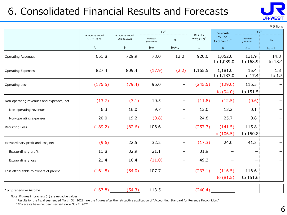## 6. Consolidated Financial Results and Forecasts



¥Billions

|                                          |                                            |                               | YoY                     |               | Results      | Forecasts                  | YoY                     | כו וטוווש ד     |
|------------------------------------------|--------------------------------------------|-------------------------------|-------------------------|---------------|--------------|----------------------------|-------------------------|-----------------|
|                                          | 9 months ended<br>Dec 31,2020 <sup>*</sup> | 9 months ended<br>Dec 31,2021 | Increase/<br>(Decrease) | $\frac{0}{0}$ | FY2021.3*    | FY2022.3<br>As of Jan 31** | Increase/<br>(Decrease) | $\%$            |
|                                          | $\mathsf{A}$                               | B                             | $B-A$                   | $B/A-1$       | $\mathsf{C}$ | D                          | $D-C$                   | $D/C-1$         |
| Operating Revenues                       | 651.8                                      | 729.9                         | 78.0                    | 12.0          | 920.0        | 1,052.0<br>to 1,089.0      | 131.9<br>to 168.9       | 14.3<br>to 18.4 |
| Operating Expenses                       | 827.4                                      | 809.4                         | (17.9)                  | (2.2)         | 1,165.5      | 1,181.0<br>to 1,183.0      | 15.4<br>to 17.4         | 1.3<br>to 1.5   |
| <b>Operating Loss</b>                    | (175.5)                                    | (79.4)                        | 96.0                    | -             | (245.5)      | (129.0)<br>to (94.0)       | 116.5<br>to 151.5       |                 |
| Non-operating revenues and expenses, net | (13.7)                                     | (3.1)                         | 10.5                    | -             | (11.8)       | (12.5)                     | (0.6)                   |                 |
| Non-operating revenues                   | 6.3                                        | 16.0                          | 9.7                     | -             | 13.0         | 13.2                       | 0.1                     |                 |
| Non-operating expenses                   | 20.0                                       | 19.2                          | (0.8)                   | -             | 24.8         | 25.7                       | 0.8                     |                 |
| <b>Recurring Loss</b>                    | (189.2)                                    | (82.6)                        | 106.6                   | -             | (257.3)      | (141.5)<br>to $(106.5)$    | 115.8<br>to 150.8       |                 |
| Extraordinary profit and loss, net       | (9.6)                                      | 22.5                          | 32.2                    | -             | (17.3)       | 24.0                       | 41.3                    |                 |
| Extraordinary profit                     | 11.8                                       | 32.9                          | 21.1                    |               | 31.9         |                            |                         |                 |
| Extraordinary loss                       | 21.4                                       | 10.4                          | (11.0)                  |               | 49.3         |                            |                         |                 |
| Loss attributable to owners of parent    | (161.8)                                    | (54.0)                        | 107.7                   | -             | (233.1)      | (116.5)<br>to $(81.5)$     | 116.6<br>to 151.6       |                 |
| Comprehensive Income                     | (167.8)                                    | (54.3)                        | 113.5                   |               | (240.4)      |                            |                         |                 |

Note: Figures in brackets ( ) are negative values.

\*Results for the fiscal year ended March 31, 2021, are the figures after the retroactive application of "Accounting Standard for Revenue Recognition."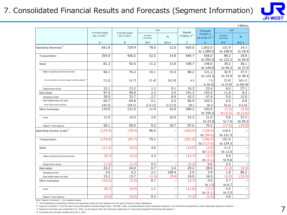#### 7. Consolidated Financial Results and Forecasts (Segment Information)



|                                                                 |                                             |                               |                  |                          |                                   |                            |                  | ¥ Billions |
|-----------------------------------------------------------------|---------------------------------------------|-------------------------------|------------------|--------------------------|-----------------------------------|----------------------------|------------------|------------|
|                                                                 | 9 months ended<br>Dec 31,2020 <sup>*3</sup> | 9 months ended<br>Dec 31,2021 | YoY<br>Increase/ |                          | Results<br>FY2021.3 <sup>*3</sup> | Forecasts<br>FY2022.3      | YoY<br>Increase/ |            |
|                                                                 |                                             |                               | (Decrease)       | $\frac{0}{0}$            |                                   | As of Jan 31 <sup>*4</sup> | (Decrease)       | %          |
|                                                                 | $\overline{A}$                              | B                             | $B-A$            | $B/A-1$                  | $\mathsf{C}$                      | D                          | $D-C$            | $D/C-1$    |
| Operating Revenues <sup>*1</sup>                                | 651.8                                       | 729.9                         | 78.0             | 12.0                     | 920.0                             | 1,052.0                    | 131.9            | 14.3       |
|                                                                 |                                             |                               |                  |                          |                                   | to 1,089.0                 | to 168.9         | to 18.4    |
| Transportation                                                  | 354.0                                       | 406.5                         | 52.5             | 14.8                     | 469.7                             | 558.0                      | 88.2             | 18.8       |
|                                                                 |                                             |                               |                  |                          |                                   | to 592.0                   | to 122.2         | to 26.0    |
| Retail                                                          | 81.3                                        | 92.6                          | 11.2             | 13.8                     | 108.7                             | 148.0                      | 39.2             | 36.1       |
|                                                                 |                                             |                               |                  |                          |                                   | to 149.0                   | to 40.2          | to 37.0    |
| Sales of goods and food services                                | 66.1                                        | 76.2                          | 10.1             | 15.3                     | 88.2                              | 121.2                      | 32.9             | 37.3       |
|                                                                 |                                             |                               |                  |                          |                                   | to 122.2                   | to 33.9          | to 38.4    |
| [Accommodation-oriented budget hotels] (restated) <sup>*2</sup> | [3.3]                                       | [4.7]                         | [1.4]            | [42.9]                   | 4.5                               | 7.5                        | [2.9]            | [63.1]     |
|                                                                 |                                             |                               |                  |                          |                                   | to 【8.5】                   | to [3.9]         | to [84.8]  |
| Department stores                                               | 12.1                                        | 13.2                          | 1.1              | 9.1                      | 16.3                              | 22.4                       | 6.0              | 37.1       |
| Real estate                                                     | 97.4                                        | 99.8                          | 2.3              | 2.4                      | 141.3                             | 153.0                      | 11.6             | 8.2        |
| Shopping center                                                 | 30.9                                        | 33.7                          | 2.7              | 8.9                      | 42.3                              | 47.4                       | 5.0              | 12.0       |
| Real estate lease and sale                                      | 64.7                                        | 64.8                          | 0.1              | 0.2                      | 96.9                              | 103.5                      | 6.5              | 6.8        |
| [Real estate sale] (restated)                                   | [29.3]                                      | [29.1]                        | (0.1)            | [(0.7)]                  | 50.1                              | 56.3                       | [6.2]            | [12.4]     |
| Other businesses                                                | 119.0                                       | 131.0                         | 11.9             | 10.0                     | 200.2                             | 193.0                      | (7.2)            | (3.6)      |
|                                                                 |                                             |                               |                  |                          |                                   | to 195.0                   | to $(5.2)$       | to $(2.6)$ |
| Hotel                                                           | 11.9                                        | 14.0                          | 2.0              | 16.9                     | 15.3                              | 21.0                       | 5.6              | 37.2       |
|                                                                 |                                             |                               |                  |                          |                                   | to 23.0                    | to 7.6           | to 50.2    |
| Nippon Travel Agency                                            | 50.1                                        | 59.5                          | 9.3              | 18.7                     | 87.6                              | 70.2                       | (17.4)           | (19.9)     |
| Operating Income (Loss) <sup>*1</sup>                           | (175.5)                                     | (79.4)                        | 96.0             | $\overline{\phantom{0}}$ | (245.5)                           | (129.0)                    | 116.5            |            |
|                                                                 |                                             |                               |                  |                          |                                   | to (94.0)                  | to 151.5         |            |
| Transportation                                                  | (173.0)                                     | (93.7)                        | 79.3             | $\overline{\phantom{0}}$ | (251.5)                           | (150.5)                    | 101.0            |            |
|                                                                 |                                             |                               |                  |                          |                                   | to (117.0)                 | to 134.5         |            |
| Retail                                                          | (11.2)                                      | (6.5)                         | 4.6              | $\overline{\phantom{0}}$ | (15.0)                            | (3.5)                      | 11.5             |            |
|                                                                 |                                             |                               |                  |                          |                                   | to $(3.0)$                 | to 12.0          |            |
| Sales of goods and food services                                | (9.7)                                       | (5.3)                         | 4.3              | $\overline{\phantom{0}}$ | (12.7)                            | (3.7)                      | 9.0              |            |
|                                                                 |                                             |                               |                  |                          |                                   | to $(3.1)$                 | to 9.6           |            |
| Department stores                                               | (1.5)                                       | (1.2)                         | 0.3              |                          | (2.2)                             | 0.0                        | 2.2              |            |
| Real estate                                                     | 23.2                                        | 24.0                          | 0.7              | 3.4                      | 29.2                              | 28.0                       | (1.2)            | (4.3)      |
| Shopping center                                                 | 2.0                                         | 4.2                           | 2.1              | 108.4                    | 2.0                               | 3.9                        | 1.8              | 86.2       |
| Real estate lease and sale                                      | 15.2                                        | 13.7                          | (1.4)            | (9.6)                    | 18.9                              | 16.0                       | (2.9)            | (15.5)     |
| Other businesses                                                | (14.3)                                      | (5.5)                         | 8.7              |                          | (5.7)                             | 0.0                        | 5.7              |            |
|                                                                 |                                             |                               |                  |                          |                                   | to 1.0                     | to 6.7           |            |
| Hotel                                                           | (8.1)                                       | (6.9)                         | 1.1              | $\overline{\phantom{0}}$ | (11.6)                            | (7.1)                      | 4.5              |            |
|                                                                 |                                             |                               |                  |                          |                                   | to $(6.1)$                 | to 5.5           |            |
| Nippon Travel Agency                                            | (9.5)                                       | (0.2)                         | 9.3              | $\overline{\phantom{0}}$ | (7.3)                             | (2.5)                      | 4.8              |            |

Note: Figures in brackets ( ) are negative values.

\*1 The breakdowns of operating revenues and operating income by each segment are the sums of those of major subsidiaries.

\*2 Figures in brackets 【 】 are the sales of accommodation-oriented budget hotel, "VIA INN", sales, excluding Asakusa (other businesses segment), and Hiroshima Kanayamacho (other businesses segment) locations.

\*3 Results for the fiscal year ended March 31, 2021, are the figures after the retroactive application of "Accounting Standard for Revenue Recognition."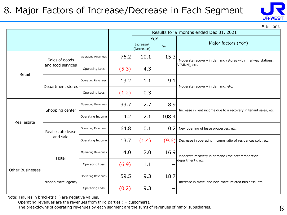### 8. Major Factors of Increase/Decrease in Each Segment



\ Billions

|                  |                      |                           |       |                         |       | Results for 9 months ended Dec 31, 2021                          |  |  |
|------------------|----------------------|---------------------------|-------|-------------------------|-------|------------------------------------------------------------------|--|--|
|                  |                      |                           |       |                         | YoY   |                                                                  |  |  |
|                  |                      |                           |       | Increase/<br>(Decrease) | $\%$  | Major factors (YoY)                                              |  |  |
|                  | Sales of goods       | Operating Revenues        | 76.2  | 10.1                    | 15.3  | ·Moderate recovery in demand (stores within railway stations,    |  |  |
| Retail           | and food services    | <b>Operating Loss</b>     | (5.3) | 4.3                     |       | VIAINN), etc.                                                    |  |  |
|                  |                      | <b>Operating Revenues</b> | 13.2  | 1.1                     | 9.1   | ·Moderate recovery in demand, etc.                               |  |  |
|                  | Department stores    | <b>Operating Loss</b>     | (1.2) | 0.3                     |       |                                                                  |  |  |
|                  | Shopping center      | <b>Operating Revenues</b> |       | 2.7                     | 8.9   | ·Increase in rent income due to a recovery in tenant sales, etc. |  |  |
| Real estate      |                      | Operating Income          | 4.2   | 2.1                     | 108.4 |                                                                  |  |  |
|                  | Real estate lease    | <b>Operating Revenues</b> | 64.8  | 0.1                     | 0.2   | ·New opening of lease properties, etc.                           |  |  |
|                  | and sale             | Operating Income          | 13.7  | (1.4)                   | (9.6) | ·Decrease in operating income ratio of residences sold, etc.     |  |  |
|                  | Hotel                | <b>Operating Revenues</b> | 14.0  | 2.0                     | 16.9  | ·Moderate recovery in demand (the accommodation                  |  |  |
| Other Businesses |                      | <b>Operating Loss</b>     | (6.9) | 1.1                     |       | department), etc.                                                |  |  |
|                  | Nippon travel agency | <b>Operating Revenues</b> | 59.5  | 9.3                     | 18.7  | ·Increase in travel and non-travel related business, etc.        |  |  |
|                  |                      | <b>Operating Loss</b>     | (0.2) | 9.3                     |       |                                                                  |  |  |

Note: Figures in brackets ( ) are negative values.

Operating revenues are the revenues from third parties  $($  = customers $)$ .

The breakdowns of operating revenues by each segment are the sums of revenues of major subsidiaries.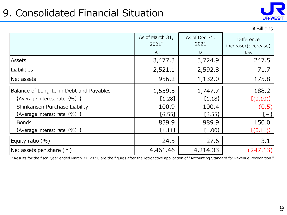# 9. Consolidated Financial Situation



|                                        |                            |                       | ¥ Billions                               |
|----------------------------------------|----------------------------|-----------------------|------------------------------------------|
|                                        | As of March 31,<br>$2021*$ | As of Dec 31,<br>2021 | <b>Difference</b><br>increase/(decrease) |
|                                        | A                          | B                     | $B-A$                                    |
| <b>Assets</b>                          | 3,477.3                    | 3,724.9               | 247.5                                    |
| <b>Liabilities</b>                     | 2,521.1                    | 2,592.8               | 71.7                                     |
| Net assets                             | 956.2                      | 1,132.0               | 175.8                                    |
| Balance of Long-term Debt and Payables | 1,559.5                    | 1,747.7               | 188.2                                    |
| [Average interest rate (%) ]           | (1.28)                     | [1.18]                | [(0.10)]                                 |
| Shinkansen Purchase Liability          | 100.9                      | 100.4                 | (0.5)                                    |
| [Average interest rate (%) ]           | [6.55]                     | [6.55]                | $\left( -\right)$                        |
| <b>Bonds</b>                           | 839.9                      | 989.9                 | 150.0                                    |
| [Average interest rate (%) ]           | (1.11)                     | $[1.00]$              | [(0.11)]                                 |
| Equity ratio $(\%)$                    | 24.5                       | 27.6                  | 3.1                                      |
| Net assets per share $(4)$             | 4,461.46                   | 4,214.33              | (247.13)                                 |

\*Results for the fiscal year ended March 31, 2021, are the figures after the retroactive application of "Accounting Standard for Revenue Recognition."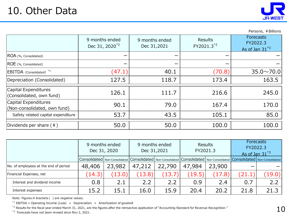

Persons, ¥Billions

|                                                      | 9 months ended<br>Dec 31, 2020 <sup>*2</sup> | 9 months ended<br>Dec 31,2021 | Results<br>FY2021.3 <sup>*2</sup> | Forecasts<br>FY2022.3<br>As of Jan $31^{*3}$ |
|------------------------------------------------------|----------------------------------------------|-------------------------------|-----------------------------------|----------------------------------------------|
| ROA (%, Consolidated)                                | -                                            |                               |                                   |                                              |
| ROE (%, Consolidated)                                |                                              |                               |                                   |                                              |
| EBITDA (Consolidated) <sup>*1</sup>                  | (47.1)                                       | 40.1                          | (70.8)                            | $35.0 \times 70.0$                           |
| Depreciation (Consolidated)                          | 127.5                                        | 118.7                         | 173.4                             | 163.5                                        |
| Capital Expenditures<br>(Consolidated, own fund)     | 126.1                                        | 111.7                         | 216.6                             | 245.0                                        |
| Capital Expenditures<br>(Non-consolidated, own fund) | 90.1                                         | 79.0                          | 167.4                             | 170.0                                        |
| Safety related capital expenditure                   | 53.7                                         | 43.5                          | 105.1                             | 85.0                                         |
| Dividends per share $(*)$                            | 50.0                                         | 50.0                          | 100.0                             | 100.0                                        |

|                                                                                                                                                                                                                                                                                                                                                                                 | 9 months ended<br>Dec 31, 2020  |        |        | 9 months ended<br>Dec 31,2021                                                                   | Results<br>FY2021.3 |        | Forecasts<br>FY2022.3<br>As of Jan $31^{*3}$ |        |  |  |  |
|---------------------------------------------------------------------------------------------------------------------------------------------------------------------------------------------------------------------------------------------------------------------------------------------------------------------------------------------------------------------------------|---------------------------------|--------|--------|-------------------------------------------------------------------------------------------------|---------------------|--------|----------------------------------------------|--------|--|--|--|
|                                                                                                                                                                                                                                                                                                                                                                                 | Consolidated   Non-Consolidated |        |        | Consolidated   Non-Consolidated Consolidated   Non-Consolidated Consolidated   Non-Consolidated |                     |        |                                              |        |  |  |  |
| No. of employees at the end of period                                                                                                                                                                                                                                                                                                                                           | 48,406                          | 23,982 | 47,212 | 22,790                                                                                          | 47,984              | 23,900 |                                              |        |  |  |  |
| Financial Expenses, net                                                                                                                                                                                                                                                                                                                                                         | (14.3)                          | (13.0) | (13.8) | (13.7)                                                                                          | (19.5)              | (17.8) | (21.1)                                       | (19.0) |  |  |  |
| Interest and dividend income                                                                                                                                                                                                                                                                                                                                                    | 0.8                             | 2.1    | 2.2    | 2.2                                                                                             | 0.9                 | 2.4    | 0.7                                          | 2.2    |  |  |  |
| Interest expenses                                                                                                                                                                                                                                                                                                                                                               | 15.2                            | 15.1   | 16.0   | 15.9                                                                                            | 20.4                | 20.2   | 21.8                                         | 21.3   |  |  |  |
| Note: Figures in brackets () are negative values.<br>* <sup>1</sup> EBITDA = Operating Income (Loss) + Depreciation + Amortization of goodwill<br>* <sup>2</sup> Results for the fiscal year ended March 31, 2021, are the figures after the retroactive application of "Accounting Standard for Revenue Recognition."<br>*3 Forecasts have not been revised since Nov 2, 2021. |                                 |        |        |                                                                                                 |                     |        |                                              |        |  |  |  |